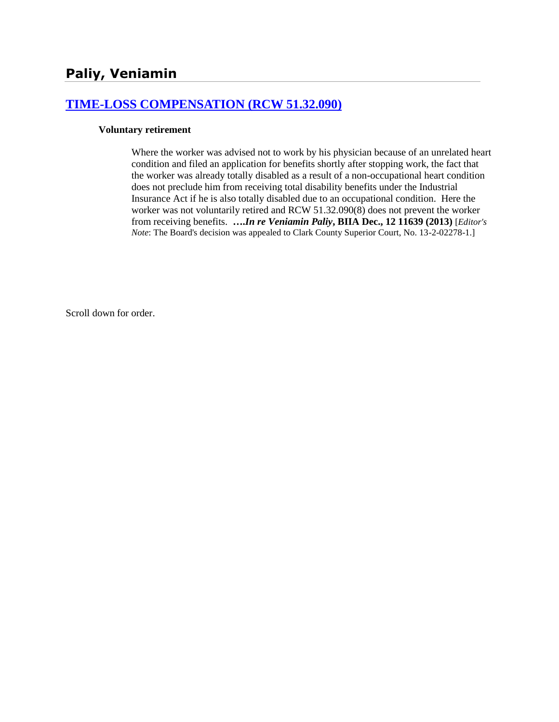# **[TIME-LOSS COMPENSATION \(RCW 51.32.090\)](http://www.biia.wa.gov/SDSubjectIndex.html#TIME_LOSS_COMPENSATION)**

#### **Voluntary retirement**

Where the worker was advised not to work by his physician because of an unrelated heart condition and filed an application for benefits shortly after stopping work, the fact that the worker was already totally disabled as a result of a non-occupational heart condition does not preclude him from receiving total disability benefits under the Industrial Insurance Act if he is also totally disabled due to an occupational condition. Here the worker was not voluntarily retired and RCW 51.32.090(8) does not prevent the worker from receiving benefits. **….***In re Veniamin Paliy***, BIIA Dec., 12 11639 (2013)** [*Editor's Note*: The Board's decision was appealed to Clark County Superior Court, No. 13-2-02278-1.]

Scroll down for order.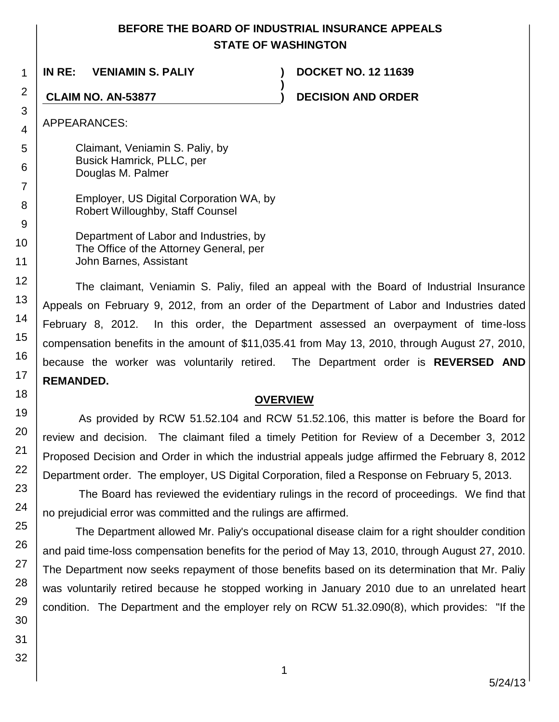# **BEFORE THE BOARD OF INDUSTRIAL INSURANCE APPEALS STATE OF WASHINGTON**

**)**

1 **IN RE: VENIAMIN S. PALIY ) DOCKET NO. 12 11639**

**CLAIM NO. AN-53877 ) DECISION AND ORDER**

APPEARANCES:

Claimant, Veniamin S. Paliy, by Busick Hamrick, PLLC, per Douglas M. Palmer

- Employer, US Digital Corporation WA, by Robert Willoughby, Staff Counsel
- Department of Labor and Industries, by The Office of the Attorney General, per John Barnes, Assistant

The claimant, Veniamin S. Paliy, filed an appeal with the Board of Industrial Insurance Appeals on February 9, 2012, from an order of the Department of Labor and Industries dated February 8, 2012. In this order, the Department assessed an overpayment of time-loss compensation benefits in the amount of \$11,035.41 from May 13, 2010, through August 27, 2010, because the worker was voluntarily retired. The Department order is **REVERSED AND REMANDED.**

# **OVERVIEW**

As provided by RCW 51.52.104 and RCW 51.52.106, this matter is before the Board for review and decision. The claimant filed a timely Petition for Review of a December 3, 2012 Proposed Decision and Order in which the industrial appeals judge affirmed the February 8, 2012 Department order. The employer, US Digital Corporation, filed a Response on February 5, 2013.

The Board has reviewed the evidentiary rulings in the record of proceedings. We find that no prejudicial error was committed and the rulings are affirmed.

The Department allowed Mr. Paliy's occupational disease claim for a right shoulder condition and paid time-loss compensation benefits for the period of May 13, 2010, through August 27, 2010. The Department now seeks repayment of those benefits based on its determination that Mr. Paliy was voluntarily retired because he stopped working in January 2010 due to an unrelated heart condition. The Department and the employer rely on RCW 51.32.090(8), which provides: "If the

2

3 4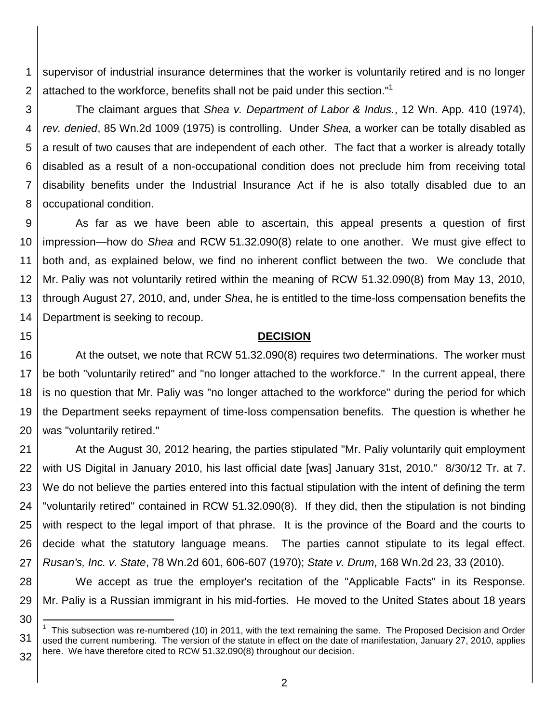1 2 supervisor of industrial insurance determines that the worker is voluntarily retired and is no longer attached to the workforce, benefits shall not be paid under this section."<sup>1</sup>

3 4 5 6 7 8 The claimant argues that *Shea v. Department of Labor & Indus.*, 12 Wn. App. 410 (1974), *rev. denied*, 85 Wn.2d 1009 (1975) is controlling. Under *Shea,* a worker can be totally disabled as a result of two causes that are independent of each other. The fact that a worker is already totally disabled as a result of a non-occupational condition does not preclude him from receiving total disability benefits under the Industrial Insurance Act if he is also totally disabled due to an occupational condition.

9 10 11 12 13 14 As far as we have been able to ascertain, this appeal presents a question of first impression—how do *Shea* and RCW 51.32.090(8) relate to one another. We must give effect to both and, as explained below, we find no inherent conflict between the two. We conclude that Mr. Paliy was not voluntarily retired within the meaning of RCW 51.32.090(8) from May 13, 2010, through August 27, 2010, and, under *Shea*, he is entitled to the time-loss compensation benefits the Department is seeking to recoup.

### **DECISION**

16 17 18 19 20 At the outset, we note that RCW 51.32.090(8) requires two determinations. The worker must be both "voluntarily retired" and "no longer attached to the workforce." In the current appeal, there is no question that Mr. Paliy was "no longer attached to the workforce" during the period for which the Department seeks repayment of time-loss compensation benefits. The question is whether he was "voluntarily retired."

21 22 23 24 25 26 27 At the August 30, 2012 hearing, the parties stipulated "Mr. Paliy voluntarily quit employment with US Digital in January 2010, his last official date [was] January 31st, 2010." 8/30/12 Tr. at 7. We do not believe the parties entered into this factual stipulation with the intent of defining the term "voluntarily retired" contained in RCW 51.32.090(8). If they did, then the stipulation is not binding with respect to the legal import of that phrase. It is the province of the Board and the courts to decide what the statutory language means. The parties cannot stipulate to its legal effect. *Rusan's, Inc. v. State*, 78 Wn.2d 601, 606-607 (1970); *State v. Drum*, 168 Wn.2d 23, 33 (2010).

28 29 We accept as true the employer's recitation of the "Applicable Facts" in its Response. Mr. Paliy is a Russian immigrant in his mid-forties. He moved to the United States about 18 years

31 1 This subsection was re-numbered (10) in 2011, with the text remaining the same. The Proposed Decision and Order used the current numbering. The version of the statute in effect on the date of manifestation, January 27, 2010, applies

15

30

l

32 here. We have therefore cited to RCW 51.32.090(8) throughout our decision.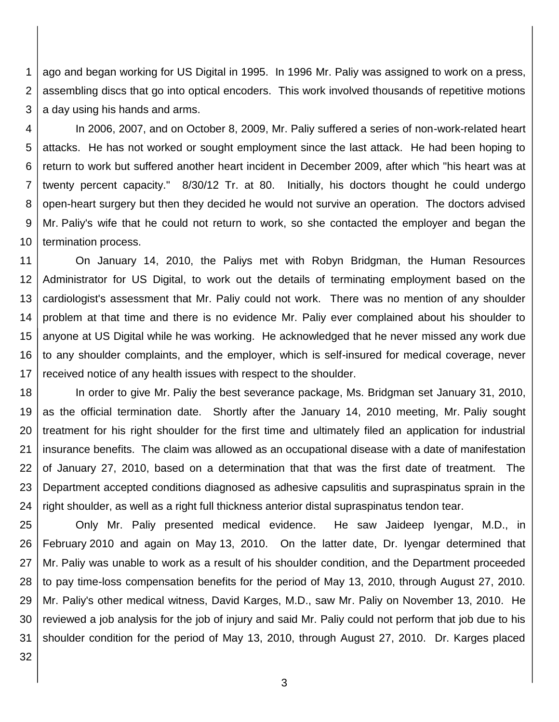1 2 3 ago and began working for US Digital in 1995. In 1996 Mr. Paliy was assigned to work on a press, assembling discs that go into optical encoders. This work involved thousands of repetitive motions a day using his hands and arms.

4 5 6 7 8 9 10 In 2006, 2007, and on October 8, 2009, Mr. Paliy suffered a series of non-work-related heart attacks. He has not worked or sought employment since the last attack. He had been hoping to return to work but suffered another heart incident in December 2009, after which "his heart was at twenty percent capacity." 8/30/12 Tr. at 80. Initially, his doctors thought he could undergo open-heart surgery but then they decided he would not survive an operation. The doctors advised Mr. Paliy's wife that he could not return to work, so she contacted the employer and began the termination process.

11 12 13 14 15 16 17 On January 14, 2010, the Paliys met with Robyn Bridgman, the Human Resources Administrator for US Digital, to work out the details of terminating employment based on the cardiologist's assessment that Mr. Paliy could not work. There was no mention of any shoulder problem at that time and there is no evidence Mr. Paliy ever complained about his shoulder to anyone at US Digital while he was working. He acknowledged that he never missed any work due to any shoulder complaints, and the employer, which is self-insured for medical coverage, never received notice of any health issues with respect to the shoulder.

18 19 20 21 22 23 24 In order to give Mr. Paliy the best severance package, Ms. Bridgman set January 31, 2010, as the official termination date. Shortly after the January 14, 2010 meeting, Mr. Paliy sought treatment for his right shoulder for the first time and ultimately filed an application for industrial insurance benefits. The claim was allowed as an occupational disease with a date of manifestation of January 27, 2010, based on a determination that that was the first date of treatment. The Department accepted conditions diagnosed as adhesive capsulitis and supraspinatus sprain in the right shoulder, as well as a right full thickness anterior distal supraspinatus tendon tear.

25 26 27 28 29 30 31 Only Mr. Paliy presented medical evidence. He saw Jaideep Iyengar, M.D., in February 2010 and again on May 13, 2010. On the latter date, Dr. Iyengar determined that Mr. Paliy was unable to work as a result of his shoulder condition, and the Department proceeded to pay time-loss compensation benefits for the period of May 13, 2010, through August 27, 2010. Mr. Paliy's other medical witness, David Karges, M.D., saw Mr. Paliy on November 13, 2010. He reviewed a job analysis for the job of injury and said Mr. Paliy could not perform that job due to his shoulder condition for the period of May 13, 2010, through August 27, 2010. Dr. Karges placed

32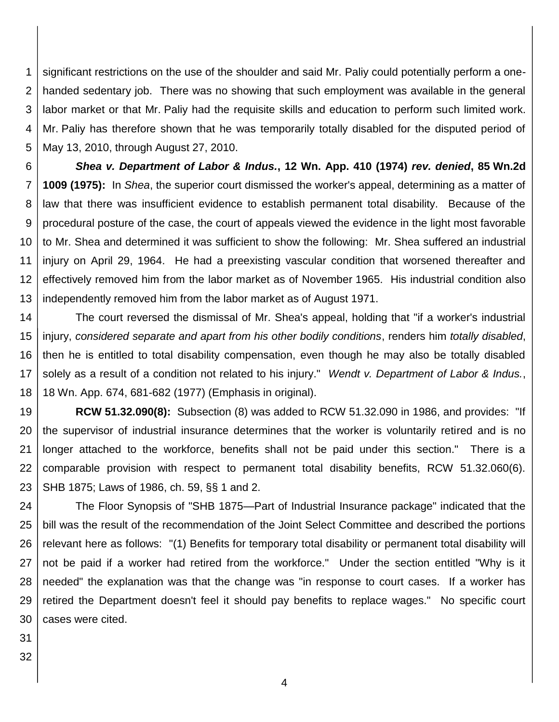1 2 3 4 5 significant restrictions on the use of the shoulder and said Mr. Paliy could potentially perform a onehanded sedentary job. There was no showing that such employment was available in the general labor market or that Mr. Paliy had the requisite skills and education to perform such limited work. Mr. Paliy has therefore shown that he was temporarily totally disabled for the disputed period of May 13, 2010, through August 27, 2010.

6 7 8 9 10 11 12 13 *Shea v. Department of Labor & Indus.***, 12 Wn. App. 410 (1974)** *rev. denied***, 85 Wn.2d 1009 (1975):** In *Shea*, the superior court dismissed the worker's appeal, determining as a matter of law that there was insufficient evidence to establish permanent total disability. Because of the procedural posture of the case, the court of appeals viewed the evidence in the light most favorable to Mr. Shea and determined it was sufficient to show the following: Mr. Shea suffered an industrial injury on April 29, 1964. He had a preexisting vascular condition that worsened thereafter and effectively removed him from the labor market as of November 1965. His industrial condition also independently removed him from the labor market as of August 1971.

14 15 16 17 18 The court reversed the dismissal of Mr. Shea's appeal, holding that "if a worker's industrial injury, *considered separate and apart from his other bodily conditions*, renders him *totally disabled*, then he is entitled to total disability compensation, even though he may also be totally disabled solely as a result of a condition not related to his injury." *Wendt v. Department of Labor & Indus.*, 18 Wn. App. 674, 681-682 (1977) (Emphasis in original).

19 20 21 22 23 **RCW 51.32.090(8):** Subsection (8) was added to RCW 51.32.090 in 1986, and provides: "If the supervisor of industrial insurance determines that the worker is voluntarily retired and is no longer attached to the workforce, benefits shall not be paid under this section." There is a comparable provision with respect to permanent total disability benefits, RCW 51.32.060(6). SHB 1875; Laws of 1986, ch. 59, §§ 1 and 2.

24 25 26 27 28 29 30 The Floor Synopsis of "SHB 1875—Part of Industrial Insurance package" indicated that the bill was the result of the recommendation of the Joint Select Committee and described the portions relevant here as follows: "(1) Benefits for temporary total disability or permanent total disability will not be paid if a worker had retired from the workforce." Under the section entitled "Why is it needed" the explanation was that the change was "in response to court cases. If a worker has retired the Department doesn't feel it should pay benefits to replace wages." No specific court cases were cited.

- 31
- 32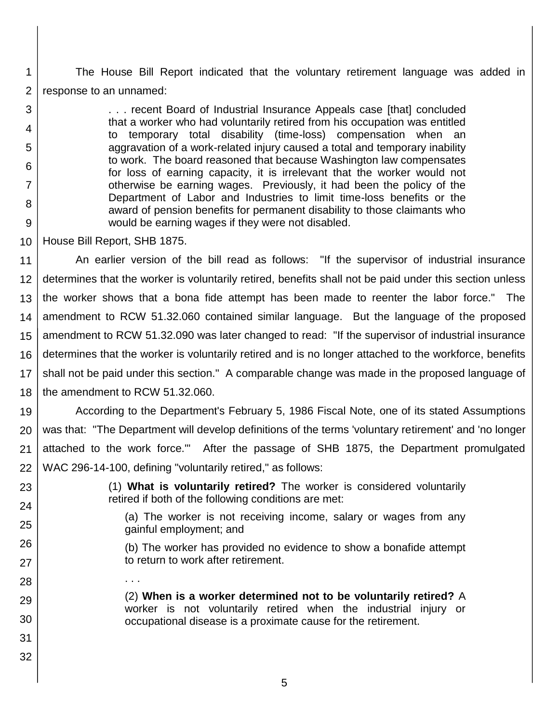1 2 The House Bill Report indicated that the voluntary retirement language was added in response to an unnamed:

> . . . recent Board of Industrial Insurance Appeals case [that] concluded that a worker who had voluntarily retired from his occupation was entitled to temporary total disability (time-loss) compensation when an aggravation of a work-related injury caused a total and temporary inability to work. The board reasoned that because Washington law compensates for loss of earning capacity, it is irrelevant that the worker would not otherwise be earning wages. Previously, it had been the policy of the Department of Labor and Industries to limit time-loss benefits or the award of pension benefits for permanent disability to those claimants who would be earning wages if they were not disabled.

10 House Bill Report, SHB 1875.

. . .

11 12 13 14 15 16 17 18 An earlier version of the bill read as follows: "If the supervisor of industrial insurance determines that the worker is voluntarily retired, benefits shall not be paid under this section unless the worker shows that a bona fide attempt has been made to reenter the labor force." The amendment to RCW 51.32.060 contained similar language. But the language of the proposed amendment to RCW 51.32.090 was later changed to read: "If the supervisor of industrial insurance determines that the worker is voluntarily retired and is no longer attached to the workforce, benefits shall not be paid under this section." A comparable change was made in the proposed language of the amendment to RCW 51.32.060.

19 20 21 22 According to the Department's February 5, 1986 Fiscal Note, one of its stated Assumptions was that: "The Department will develop definitions of the terms 'voluntary retirement' and 'no longer attached to the work force.'" After the passage of SHB 1875, the Department promulgated WAC 296-14-100, defining "voluntarily retired," as follows:

23

24

25

26

27

28

29

30

31

32

3

4

5

6

7

8

9

(1) **What is voluntarily retired?** The worker is considered voluntarily retired if both of the following conditions are met:

(a) The worker is not receiving income, salary or wages from any gainful employment; and

(b) The worker has provided no evidence to show a bonafide attempt to return to work after retirement.

(2) **When is a worker determined not to be voluntarily retired?** A worker is not voluntarily retired when the industrial injury or occupational disease is a proximate cause for the retirement.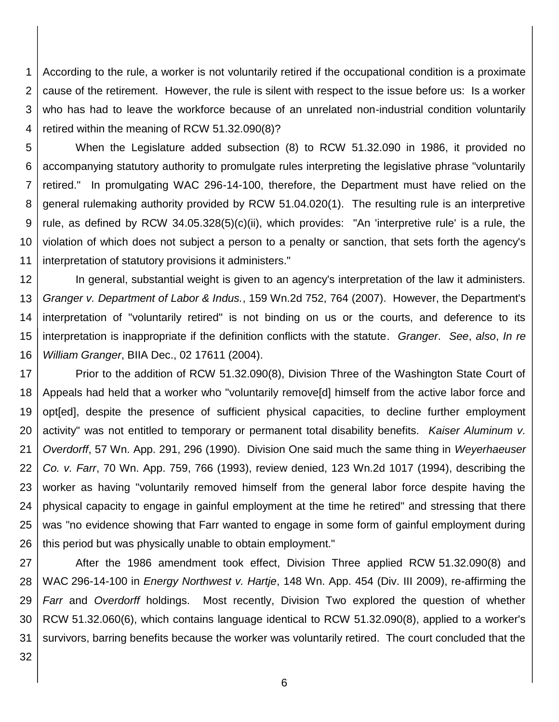1 2 3 4 According to the rule, a worker is not voluntarily retired if the occupational condition is a proximate cause of the retirement. However, the rule is silent with respect to the issue before us: Is a worker who has had to leave the workforce because of an unrelated non-industrial condition voluntarily retired within the meaning of RCW 51.32.090(8)?

5 6 7 8 9 10 11 When the Legislature added subsection (8) to RCW 51.32.090 in 1986, it provided no accompanying statutory authority to promulgate rules interpreting the legislative phrase "voluntarily retired." In promulgating WAC 296-14-100, therefore, the Department must have relied on the general rulemaking authority provided by RCW 51.04.020(1). The resulting rule is an interpretive rule, as defined by RCW 34.05.328(5)(c)(ii), which provides: "An 'interpretive rule' is a rule, the violation of which does not subject a person to a penalty or sanction, that sets forth the agency's interpretation of statutory provisions it administers."

12 13 14 15 16 In general, substantial weight is given to an agency's interpretation of the law it administers. *Granger v. Department of Labor & Indus.*, 159 Wn.2d 752, 764 (2007). However, the Department's interpretation of "voluntarily retired" is not binding on us or the courts, and deference to its interpretation is inappropriate if the definition conflicts with the statute. *Granger*. *See*, *also*, *In re William Granger*, BIIA Dec., 02 17611 (2004).

17 18 19 20 21 22 23 24 25 26 Prior to the addition of RCW 51.32.090(8), Division Three of the Washington State Court of Appeals had held that a worker who "voluntarily remove[d] himself from the active labor force and opt[ed], despite the presence of sufficient physical capacities, to decline further employment activity" was not entitled to temporary or permanent total disability benefits. *Kaiser Aluminum v. Overdorff*, 57 Wn. App. 291, 296 (1990). Division One said much the same thing in *Weyerhaeuser Co. v. Farr*, 70 Wn. App. 759, 766 (1993), review denied, 123 Wn.2d 1017 (1994), describing the worker as having "voluntarily removed himself from the general labor force despite having the physical capacity to engage in gainful employment at the time he retired" and stressing that there was "no evidence showing that Farr wanted to engage in some form of gainful employment during this period but was physically unable to obtain employment."

27 28 29 30 31 After the 1986 amendment took effect, Division Three applied RCW 51.32.090(8) and WAC 296-14-100 in *Energy Northwest v. Hartje*, 148 Wn. App. 454 (Div. III 2009), re-affirming the *Farr* and *Overdorff* holdings. Most recently, Division Two explored the question of whether RCW 51.32.060(6), which contains language identical to RCW 51.32.090(8), applied to a worker's survivors, barring benefits because the worker was voluntarily retired. The court concluded that the

32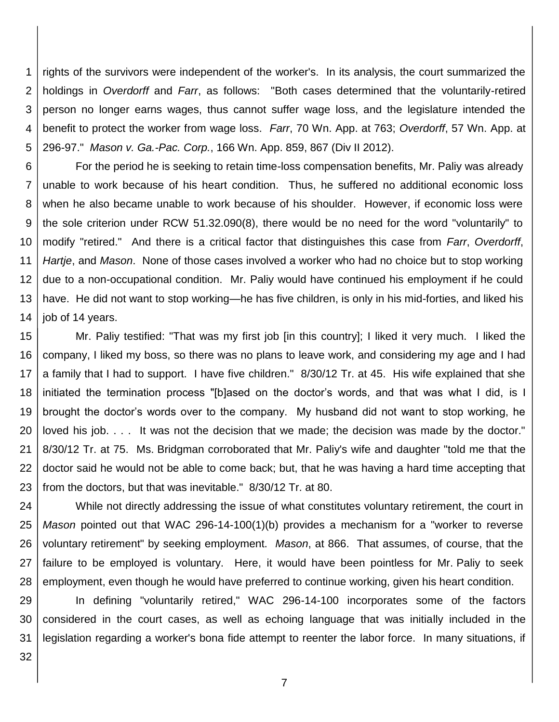1 2 3 4 5 rights of the survivors were independent of the worker's. In its analysis, the court summarized the holdings in *Overdorff* and *Farr*, as follows: "Both cases determined that the voluntarily-retired person no longer earns wages, thus cannot suffer wage loss, and the legislature intended the benefit to protect the worker from wage loss. *Farr*, 70 Wn. App. at 763; *Overdorff*, 57 Wn. App. at 296-97." *Mason v. Ga.-Pac. Corp.*, 166 Wn. App. 859, 867 (Div II 2012).

6 7 8 9 10 11 12 13 14 For the period he is seeking to retain time-loss compensation benefits, Mr. Paliy was already unable to work because of his heart condition. Thus, he suffered no additional economic loss when he also became unable to work because of his shoulder. However, if economic loss were the sole criterion under RCW 51.32.090(8), there would be no need for the word "voluntarily" to modify "retired." And there is a critical factor that distinguishes this case from *Farr*, *Overdorff*, *Hartje*, and *Mason*. None of those cases involved a worker who had no choice but to stop working due to a non-occupational condition. Mr. Paliy would have continued his employment if he could have. He did not want to stop working—he has five children, is only in his mid-forties, and liked his job of 14 years.

15 16 17 18 19 20 21 22 23 Mr. Paliy testified: "That was my first job [in this country]; I liked it very much. I liked the company, I liked my boss, so there was no plans to leave work, and considering my age and I had a family that I had to support. I have five children." 8/30/12 Tr. at 45. His wife explained that she initiated the termination process "[b]ased on the doctor's words, and that was what I did, is I brought the doctor's words over to the company. My husband did not want to stop working, he loved his job. . . . It was not the decision that we made; the decision was made by the doctor." 8/30/12 Tr. at 75. Ms. Bridgman corroborated that Mr. Paliy's wife and daughter "told me that the doctor said he would not be able to come back; but, that he was having a hard time accepting that from the doctors, but that was inevitable." 8/30/12 Tr. at 80.

24 25 26 27 28 While not directly addressing the issue of what constitutes voluntary retirement, the court in *Mason* pointed out that WAC 296-14-100(1)(b) provides a mechanism for a "worker to reverse voluntary retirement" by seeking employment. *Mason*, at 866. That assumes, of course, that the failure to be employed is voluntary. Here, it would have been pointless for Mr. Paliy to seek employment, even though he would have preferred to continue working, given his heart condition.

29 30 31 In defining "voluntarily retired," WAC 296-14-100 incorporates some of the factors considered in the court cases, as well as echoing language that was initially included in the legislation regarding a worker's bona fide attempt to reenter the labor force. In many situations, if

32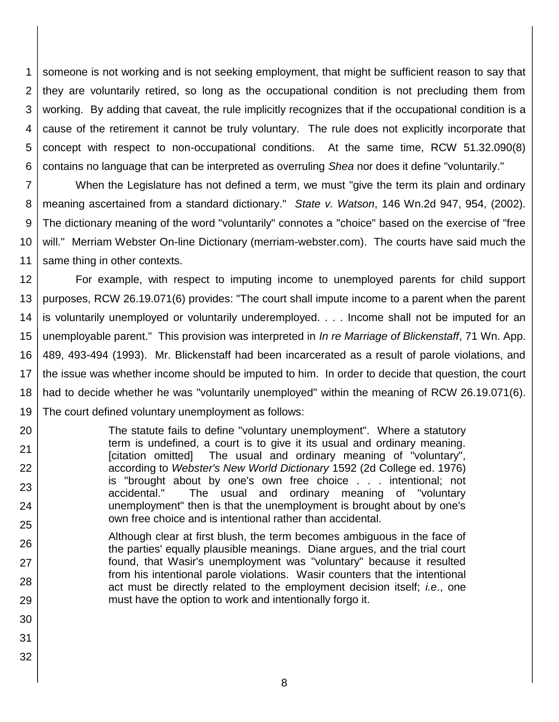1 2 3 4 5 6 someone is not working and is not seeking employment, that might be sufficient reason to say that they are voluntarily retired, so long as the occupational condition is not precluding them from working. By adding that caveat, the rule implicitly recognizes that if the occupational condition is a cause of the retirement it cannot be truly voluntary. The rule does not explicitly incorporate that concept with respect to non-occupational conditions. At the same time, RCW 51.32.090(8) contains no language that can be interpreted as overruling *Shea* nor does it define "voluntarily."

7 8 9 10 11 When the Legislature has not defined a term, we must "give the term its plain and ordinary meaning ascertained from a standard dictionary." *State v. Watson*, 146 Wn.2d 947, 954, (2002). The dictionary meaning of the word "voluntarily" connotes a "choice" based on the exercise of "free will." Merriam Webster On-line Dictionary (merriam-webster.com). The courts have said much the same thing in other contexts.

12 13 14 15 16 17 18 19 For example, with respect to imputing income to unemployed parents for child support purposes, RCW 26.19.071(6) provides: "The court shall impute income to a parent when the parent is voluntarily unemployed or voluntarily underemployed. . . . Income shall not be imputed for an unemployable parent." This provision was interpreted in *In re Marriage of Blickenstaff*, 71 Wn. App. 489, 493-494 (1993). Mr. Blickenstaff had been incarcerated as a result of parole violations, and the issue was whether income should be imputed to him. In order to decide that question, the court had to decide whether he was "voluntarily unemployed" within the meaning of RCW 26.19.071(6). The court defined voluntary unemployment as follows:

The statute fails to define "voluntary unemployment". Where a statutory term is undefined, a court is to give it its usual and ordinary meaning. [citation omitted] The usual and ordinary meaning of "voluntary", according to *Webster's New World Dictionary* 1592 (2d College ed. 1976) is "brought about by one's own free choice . . . intentional; not accidental." The usual and ordinary meaning of "voluntary unemployment" then is that the unemployment is brought about by one's own free choice and is intentional rather than accidental.

- 26 27 28 Although clear at first blush, the term becomes ambiguous in the face of the parties' equally plausible meanings. Diane argues, and the trial court found, that Wasir's unemployment was "voluntary" because it resulted from his intentional parole violations. Wasir counters that the intentional act must be directly related to the employment decision itself; *i.e*., one must have the option to work and intentionally forgo it.
- 29 30

20

21

22

23

24

25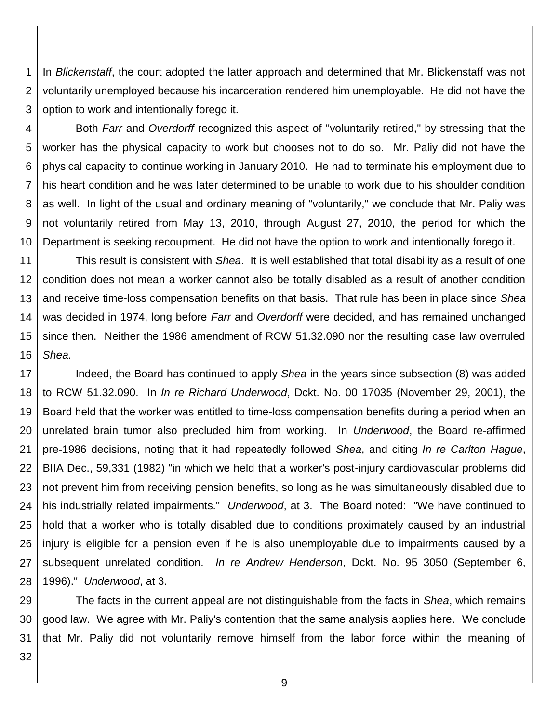1 2 3 In *Blickenstaff*, the court adopted the latter approach and determined that Mr. Blickenstaff was not voluntarily unemployed because his incarceration rendered him unemployable. He did not have the option to work and intentionally forego it.

4

5 6 7 8 9 10 Both *Farr* and *Overdorff* recognized this aspect of "voluntarily retired," by stressing that the worker has the physical capacity to work but chooses not to do so. Mr. Paliy did not have the physical capacity to continue working in January 2010. He had to terminate his employment due to his heart condition and he was later determined to be unable to work due to his shoulder condition as well. In light of the usual and ordinary meaning of "voluntarily," we conclude that Mr. Paliy was not voluntarily retired from May 13, 2010, through August 27, 2010, the period for which the Department is seeking recoupment. He did not have the option to work and intentionally forego it.

11 12 13 14 15 16 This result is consistent with *Shea*. It is well established that total disability as a result of one condition does not mean a worker cannot also be totally disabled as a result of another condition and receive time-loss compensation benefits on that basis. That rule has been in place since *Shea* was decided in 1974, long before *Farr* and *Overdorff* were decided, and has remained unchanged since then. Neither the 1986 amendment of RCW 51.32.090 nor the resulting case law overruled *Shea*.

17 18 19 20 21 22 23 24 25 26 27 28 Indeed, the Board has continued to apply *Shea* in the years since subsection (8) was added to RCW 51.32.090. In *In re Richard Underwood*, Dckt. No. 00 17035 (November 29, 2001), the Board held that the worker was entitled to time-loss compensation benefits during a period when an unrelated brain tumor also precluded him from working. In *Underwood*, the Board re-affirmed pre-1986 decisions, noting that it had repeatedly followed *Shea*, and citing *In re Carlton Hague*, BIIA Dec., 59,331 (1982) "in which we held that a worker's post-injury cardiovascular problems did not prevent him from receiving pension benefits, so long as he was simultaneously disabled due to his industrially related impairments." *Underwood*, at 3. The Board noted: "We have continued to hold that a worker who is totally disabled due to conditions proximately caused by an industrial injury is eligible for a pension even if he is also unemployable due to impairments caused by a subsequent unrelated condition. *In re Andrew Henderson*, Dckt. No. 95 3050 (September 6, 1996)." *Underwood*, at 3.

29 30 31 The facts in the current appeal are not distinguishable from the facts in *Shea*, which remains good law. We agree with Mr. Paliy's contention that the same analysis applies here. We conclude that Mr. Paliy did not voluntarily remove himself from the labor force within the meaning of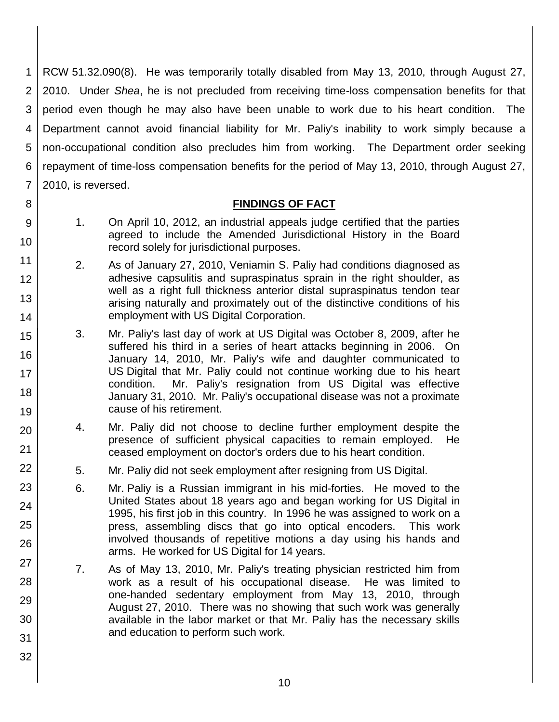1 2 3 4 5 6 7 RCW 51.32.090(8). He was temporarily totally disabled from May 13, 2010, through August 27, 2010. Under *Shea*, he is not precluded from receiving time-loss compensation benefits for that period even though he may also have been unable to work due to his heart condition. The Department cannot avoid financial liability for Mr. Paliy's inability to work simply because a non-occupational condition also precludes him from working. The Department order seeking repayment of time-loss compensation benefits for the period of May 13, 2010, through August 27, 2010, is reversed.

## **FINDINGS OF FACT**

1. On April 10, 2012, an industrial appeals judge certified that the parties agreed to include the Amended Jurisdictional History in the Board record solely for jurisdictional purposes.

8

9

10

11

12

13

14

15

16

17

18

19

20

21

22

23

24

25

26

27

28

29

30

31

- 2. As of January 27, 2010, Veniamin S. Paliy had conditions diagnosed as adhesive capsulitis and supraspinatus sprain in the right shoulder, as well as a right full thickness anterior distal supraspinatus tendon tear arising naturally and proximately out of the distinctive conditions of his employment with US Digital Corporation.
	- 3. Mr. Paliy's last day of work at US Digital was October 8, 2009, after he suffered his third in a series of heart attacks beginning in 2006. On January 14, 2010, Mr. Paliy's wife and daughter communicated to US Digital that Mr. Paliy could not continue working due to his heart condition. Mr. Paliy's resignation from US Digital was effective January 31, 2010. Mr. Paliy's occupational disease was not a proximate cause of his retirement.
	- 4. Mr. Paliy did not choose to decline further employment despite the presence of sufficient physical capacities to remain employed. He ceased employment on doctor's orders due to his heart condition.
	- 5. Mr. Paliy did not seek employment after resigning from US Digital.
	- 6. Mr. Paliy is a Russian immigrant in his mid-forties. He moved to the United States about 18 years ago and began working for US Digital in 1995, his first job in this country. In 1996 he was assigned to work on a press, assembling discs that go into optical encoders. This work involved thousands of repetitive motions a day using his hands and arms. He worked for US Digital for 14 years.
	- 7. As of May 13, 2010, Mr. Paliy's treating physician restricted him from work as a result of his occupational disease. He was limited to one-handed sedentary employment from May 13, 2010, through August 27, 2010. There was no showing that such work was generally available in the labor market or that Mr. Paliy has the necessary skills and education to perform such work.
		- 10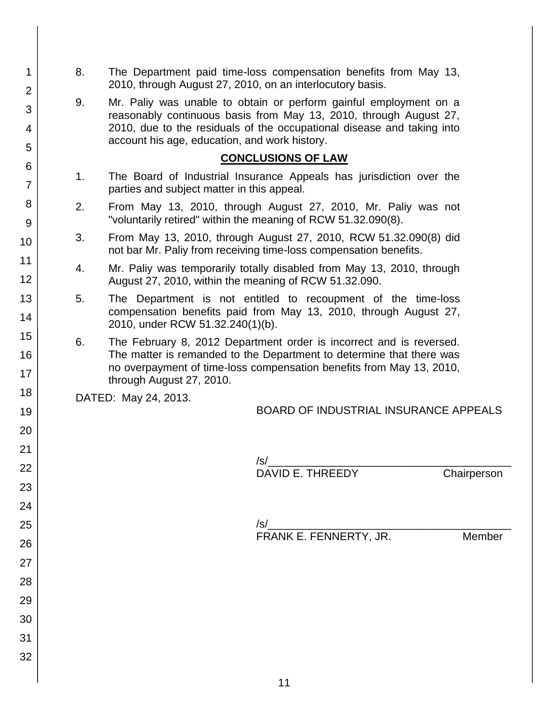- 8. The Department paid time-loss compensation benefits from May 13, 2010, through August 27, 2010, on an interlocutory basis.
	- 9. Mr. Paliy was unable to obtain or perform gainful employment on a reasonably continuous basis from May 13, 2010, through August 27, 2010, due to the residuals of the occupational disease and taking into account his age, education, and work history.

## **CONCLUSIONS OF LAW**

- 1. The Board of Industrial Insurance Appeals has jurisdiction over the parties and subject matter in this appeal.
- 2. From May 13, 2010, through August 27, 2010, Mr. Paliy was not "voluntarily retired" within the meaning of RCW 51.32.090(8).
- 3. From May 13, 2010, through August 27, 2010, RCW 51.32.090(8) did not bar Mr. Paliy from receiving time-loss compensation benefits.
- 4. Mr. Paliy was temporarily totally disabled from May 13, 2010, through August 27, 2010, within the meaning of RCW 51.32.090.
- 5. The Department is not entitled to recoupment of the time-loss compensation benefits paid from May 13, 2010, through August 27, 2010, under RCW 51.32.240(1)(b).
- 6. The February 8, 2012 Department order is incorrect and is reversed. The matter is remanded to the Department to determine that there was no overpayment of time-loss compensation benefits from May 13, 2010, through August 27, 2010.

DATED: May 24, 2013.

| BOARD OF INDUSTRIAL INSURANCE APPEALS |
|---------------------------------------|
|---------------------------------------|

| $\sqrt{s}$       |             |
|------------------|-------------|
| DAVID E. THREEDY | Chairperson |

/s/\_\_\_\_\_\_\_\_\_\_\_\_\_\_\_\_\_\_\_\_\_\_\_\_\_\_\_\_\_\_\_\_\_\_\_\_\_\_\_\_ FRANK E. FENNERTY, JR. Member

3 4 5 6 7 8 9 10 11 12 13 14 15 16 17 18 19 20 21 22 23 24 25 26 27 28 29 30 31 32

1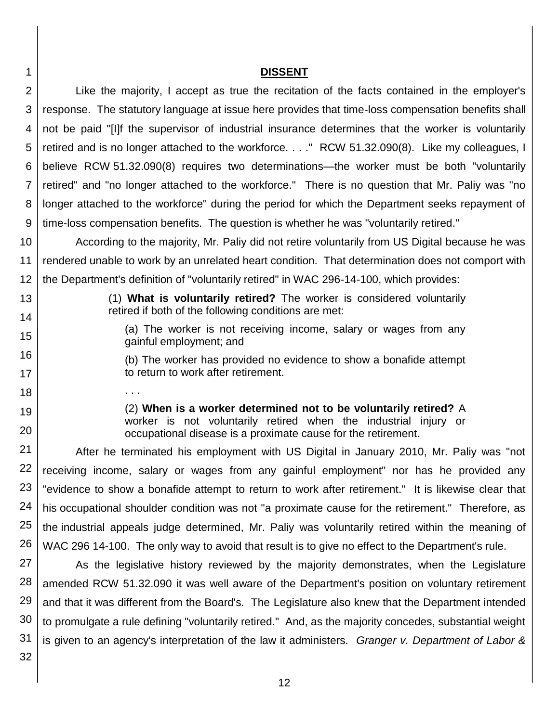#### 1 2 3 4 5 6 7 8 9 **DISSENT** Like the majority, I accept as true the recitation of the facts contained in the employer's response. The statutory language at issue here provides that time-loss compensation benefits shall not be paid "[I]f the supervisor of industrial insurance determines that the worker is voluntarily retired and is no longer attached to the workforce. . . ." RCW 51.32.090(8). Like my colleagues, I believe RCW 51.32.090(8) requires two determinations—the worker must be both "voluntarily retired" and "no longer attached to the workforce." There is no question that Mr. Paliy was "no longer attached to the workforce" during the period for which the Department seeks repayment of time-loss compensation benefits. The question is whether he was "voluntarily retired."

10 11 12 According to the majority, Mr. Paliy did not retire voluntarily from US Digital because he was rendered unable to work by an unrelated heart condition. That determination does not comport with the Department's definition of "voluntarily retired" in WAC 296-14-100, which provides:

(1) **What is voluntarily retired?** The worker is considered voluntarily retired if both of the following conditions are met:

> (a) The worker is not receiving income, salary or wages from any gainful employment; and

(b) The worker has provided no evidence to show a bonafide attempt to return to work after retirement.

(2) **When is a worker determined not to be voluntarily retired?** A worker is not voluntarily retired when the industrial injury or occupational disease is a proximate cause for the retirement.

21 22 23 24 25 26 After he terminated his employment with US Digital in January 2010, Mr. Paliy was "not receiving income, salary or wages from any gainful employment" nor has he provided any "evidence to show a bonafide attempt to return to work after retirement." It is likewise clear that his occupational shoulder condition was not "a proximate cause for the retirement." Therefore, as the industrial appeals judge determined, Mr. Paliy was voluntarily retired within the meaning of WAC 296 14-100. The only way to avoid that result is to give no effect to the Department's rule.

27 28 29 30 31 As the legislative history reviewed by the majority demonstrates, when the Legislature amended RCW 51.32.090 it was well aware of the Department's position on voluntary retirement and that it was different from the Board's. The Legislature also knew that the Department intended to promulgate a rule defining "voluntarily retired." And, as the majority concedes, substantial weight is given to an agency's interpretation of the law it administers. *Granger v. Department of Labor &* 

32

13

14

15

16

17 18

. . .

19

20